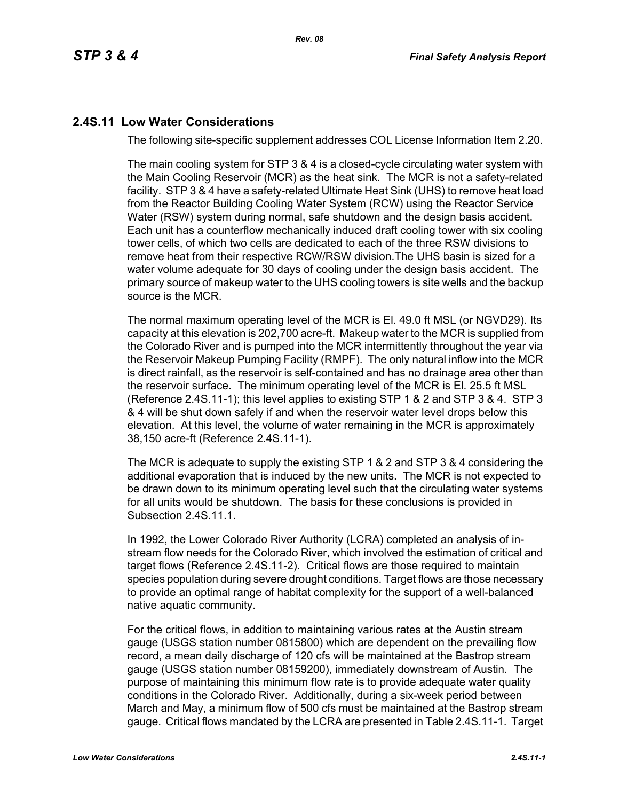# **2.4S.11 Low Water Considerations**

The following site-specific supplement addresses COL License Information Item 2.20.

The main cooling system for STP 3 & 4 is a closed-cycle circulating water system with the Main Cooling Reservoir (MCR) as the heat sink. The MCR is not a safety-related facility. STP 3 & 4 have a safety-related Ultimate Heat Sink (UHS) to remove heat load from the Reactor Building Cooling Water System (RCW) using the Reactor Service Water (RSW) system during normal, safe shutdown and the design basis accident. Each unit has a counterflow mechanically induced draft cooling tower with six cooling tower cells, of which two cells are dedicated to each of the three RSW divisions to remove heat from their respective RCW/RSW division.The UHS basin is sized for a water volume adequate for 30 days of cooling under the design basis accident. The primary source of makeup water to the UHS cooling towers is site wells and the backup source is the MCR.

The normal maximum operating level of the MCR is El. 49.0 ft MSL (or NGVD29). Its capacity at this elevation is 202,700 acre-ft. Makeup water to the MCR is supplied from the Colorado River and is pumped into the MCR intermittently throughout the year via the Reservoir Makeup Pumping Facility (RMPF). The only natural inflow into the MCR is direct rainfall, as the reservoir is self-contained and has no drainage area other than the reservoir surface. The minimum operating level of the MCR is El. 25.5 ft MSL (Reference [2.4S.11-1\)](#page-4-0); this level applies to existing STP 1 & 2 and STP 3 & 4. STP 3 & 4 will be shut down safely if and when the reservoir water level drops below this elevation. At this level, the volume of water remaining in the MCR is approximately 38,150 acre-ft (Reference [2.4S.11-1\)](#page-4-0).

The MCR is adequate to supply the existing STP 1 & 2 and STP 3 & 4 considering the additional evaporation that is induced by the new units. The MCR is not expected to be drawn down to its minimum operating level such that the circulating water systems for all units would be shutdown. The basis for these conclusions is provided in Subsection 2.4S.11.1.

In 1992, the Lower Colorado River Authority (LCRA) completed an analysis of instream flow needs for the Colorado River, which involved the estimation of critical and target flows (Reference [2.4S.11-2](#page-4-1)). Critical flows are those required to maintain species population during severe drought conditions. Target flows are those necessary to provide an optimal range of habitat complexity for the support of a well-balanced native aquatic community.

For the critical flows, in addition to maintaining various rates at the Austin stream gauge (USGS station number 0815800) which are dependent on the prevailing flow record, a mean daily discharge of 120 cfs will be maintained at the Bastrop stream gauge (USGS station number 08159200), immediately downstream of Austin. The purpose of maintaining this minimum flow rate is to provide adequate water quality conditions in the Colorado River. Additionally, during a six-week period between March and May, a minimum flow of 500 cfs must be maintained at the Bastrop stream gauge. Critical flows mandated by the LCRA are presented in Table [2.4S.11-1](#page-5-0). Target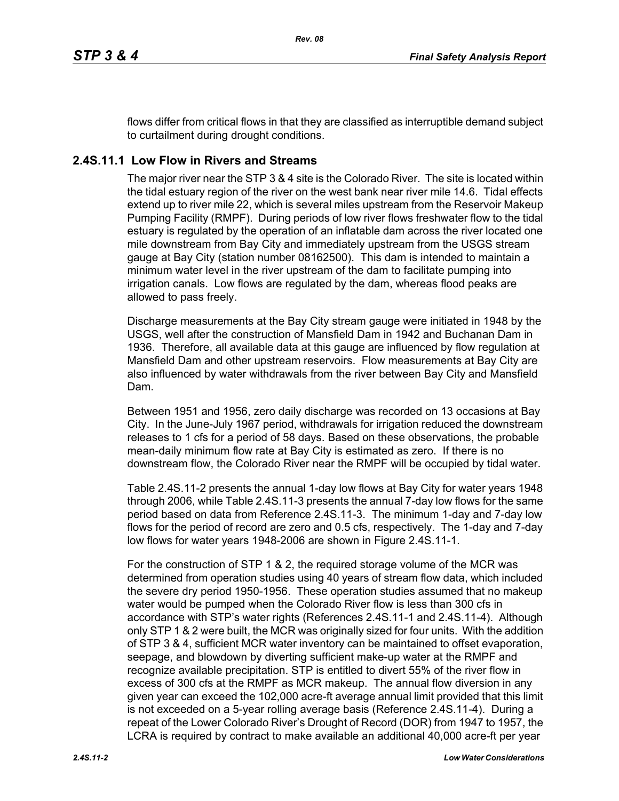flows differ from critical flows in that they are classified as interruptible demand subject to curtailment during drought conditions.

# **2.4S.11.1 Low Flow in Rivers and Streams**

The major river near the STP 3 & 4 site is the Colorado River. The site is located within the tidal estuary region of the river on the west bank near river mile 14.6. Tidal effects extend up to river mile 22, which is several miles upstream from the Reservoir Makeup Pumping Facility (RMPF). During periods of low river flows freshwater flow to the tidal estuary is regulated by the operation of an inflatable dam across the river located one mile downstream from Bay City and immediately upstream from the USGS stream gauge at Bay City (station number 08162500). This dam is intended to maintain a minimum water level in the river upstream of the dam to facilitate pumping into irrigation canals. Low flows are regulated by the dam, whereas flood peaks are allowed to pass freely.

Discharge measurements at the Bay City stream gauge were initiated in 1948 by the USGS, well after the construction of Mansfield Dam in 1942 and Buchanan Dam in 1936. Therefore, all available data at this gauge are influenced by flow regulation at Mansfield Dam and other upstream reservoirs. Flow measurements at Bay City are also influenced by water withdrawals from the river between Bay City and Mansfield Dam.

Between 1951 and 1956, zero daily discharge was recorded on 13 occasions at Bay City. In the June-July 1967 period, withdrawals for irrigation reduced the downstream releases to 1 cfs for a period of 58 days. Based on these observations, the probable mean-daily minimum flow rate at Bay City is estimated as zero. If there is no downstream flow, the Colorado River near the RMPF will be occupied by tidal water.

Table [2.4S.11-2](#page-6-0) presents the annual 1-day low flows at Bay City for water years 1948 through 2006, while Table [2.4S.11-3](#page-7-0) presents the annual 7-day low flows for the same period based on data from Reference [2.4S.11-3.](#page-4-2) The minimum 1-day and 7-day low flows for the period of record are zero and 0.5 cfs, respectively. The 1-day and 7-day low flows for water years 1948-2006 are shown in Figure [2.4S.11-1](#page-8-0).

For the construction of STP 1 & 2, the required storage volume of the MCR was determined from operation studies using 40 years of stream flow data, which included the severe dry period 1950-1956. These operation studies assumed that no makeup water would be pumped when the Colorado River flow is less than 300 cfs in accordance with STP's water rights (References [2.4S.11-1](#page-4-0) and [2.4S.11-4](#page-4-3)). Although only STP 1 & 2 were built, the MCR was originally sized for four units. With the addition of STP 3 & 4, sufficient MCR water inventory can be maintained to offset evaporation, seepage, and blowdown by diverting sufficient make-up water at the RMPF and recognize available precipitation. STP is entitled to divert 55% of the river flow in excess of 300 cfs at the RMPF as MCR makeup. The annual flow diversion in any given year can exceed the 102,000 acre-ft average annual limit provided that this limit is not exceeded on a 5-year rolling average basis (Reference [2.4S.11-4](#page-4-3)). During a repeat of the Lower Colorado River's Drought of Record (DOR) from 1947 to 1957, the LCRA is required by contract to make available an additional 40,000 acre-ft per year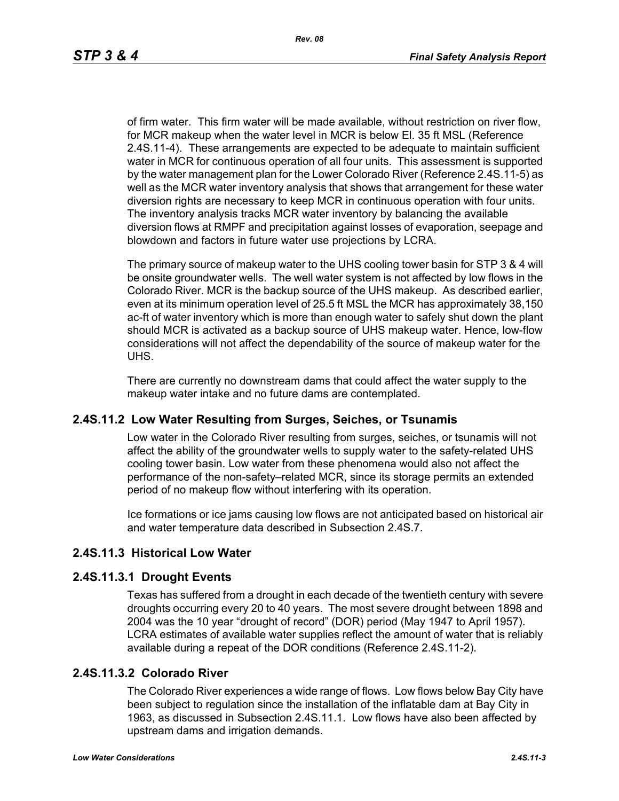of firm water. This firm water will be made available, without restriction on river flow, for MCR makeup when the water level in MCR is below El. 35 ft MSL (Reference [2.4S.11-4\)](#page-4-3). These arrangements are expected to be adequate to maintain sufficient water in MCR for continuous operation of all four units. This assessment is supported by the water management plan for the Lower Colorado River (Reference [2.4S.11-5](#page-4-4)) as well as the MCR water inventory analysis that shows that arrangement for these water diversion rights are necessary to keep MCR in continuous operation with four units. The inventory analysis tracks MCR water inventory by balancing the available diversion flows at RMPF and precipitation against losses of evaporation, seepage and blowdown and factors in future water use projections by LCRA.

The primary source of makeup water to the UHS cooling tower basin for STP 3 & 4 will be onsite groundwater wells. The well water system is not affected by low flows in the Colorado River. MCR is the backup source of the UHS makeup. As described earlier, even at its minimum operation level of 25.5 ft MSL the MCR has approximately 38,150 ac-ft of water inventory which is more than enough water to safely shut down the plant should MCR is activated as a backup source of UHS makeup water. Hence, low-flow considerations will not affect the dependability of the source of makeup water for the UHS.

There are currently no downstream dams that could affect the water supply to the makeup water intake and no future dams are contemplated.

### **2.4S.11.2 Low Water Resulting from Surges, Seiches, or Tsunamis**

Low water in the Colorado River resulting from surges, seiches, or tsunamis will not affect the ability of the groundwater wells to supply water to the safety-related UHS cooling tower basin. Low water from these phenomena would also not affect the performance of the non-safety–related MCR, since its storage permits an extended period of no makeup flow without interfering with its operation.

Ice formations or ice jams causing low flows are not anticipated based on historical air and water temperature data described in Subsection 2.4S.7.

# **2.4S.11.3 Historical Low Water**

### **2.4S.11.3.1 Drought Events**

Texas has suffered from a drought in each decade of the twentieth century with severe droughts occurring every 20 to 40 years. The most severe drought between 1898 and 2004 was the 10 year "drought of record" (DOR) period (May 1947 to April 1957). LCRA estimates of available water supplies reflect the amount of water that is reliably available during a repeat of the DOR conditions (Reference [2.4S.11-2\)](#page-4-1).

### **2.4S.11.3.2 Colorado River**

The Colorado River experiences a wide range of flows. Low flows below Bay City have been subject to regulation since the installation of the inflatable dam at Bay City in 1963, as discussed in Subsection 2.4S.11.1. Low flows have also been affected by upstream dams and irrigation demands.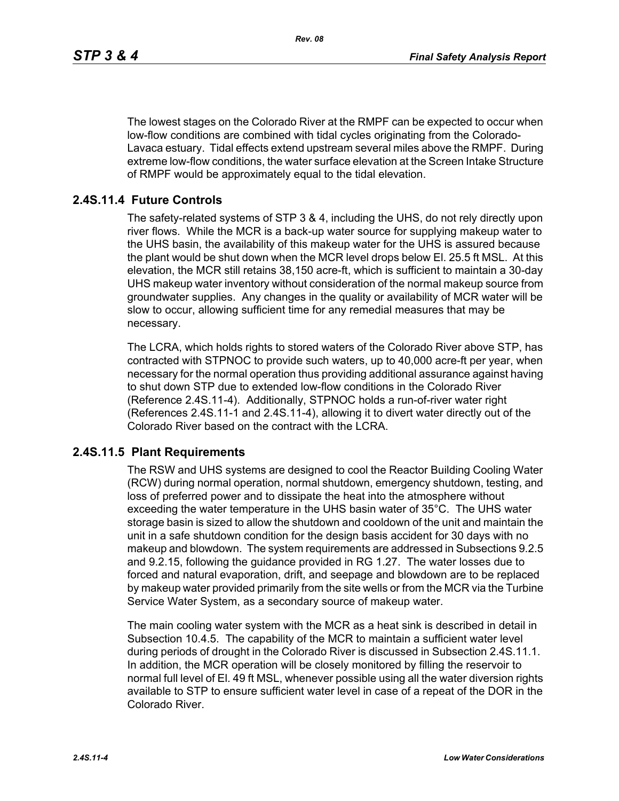The lowest stages on the Colorado River at the RMPF can be expected to occur when low-flow conditions are combined with tidal cycles originating from the Colorado-Lavaca estuary. Tidal effects extend upstream several miles above the RMPF. During extreme low-flow conditions, the water surface elevation at the Screen Intake Structure of RMPF would be approximately equal to the tidal elevation.

### **2.4S.11.4 Future Controls**

The safety-related systems of STP 3 & 4, including the UHS, do not rely directly upon river flows. While the MCR is a back-up water source for supplying makeup water to the UHS basin, the availability of this makeup water for the UHS is assured because the plant would be shut down when the MCR level drops below El. 25.5 ft MSL. At this elevation, the MCR still retains 38,150 acre-ft, which is sufficient to maintain a 30-day UHS makeup water inventory without consideration of the normal makeup source from groundwater supplies. Any changes in the quality or availability of MCR water will be slow to occur, allowing sufficient time for any remedial measures that may be necessary.

The LCRA, which holds rights to stored waters of the Colorado River above STP, has contracted with STPNOC to provide such waters, up to 40,000 acre-ft per year, when necessary for the normal operation thus providing additional assurance against having to shut down STP due to extended low-flow conditions in the Colorado River (Reference [2.4S.11-4\)](#page-4-3). Additionally, STPNOC holds a run-of-river water right (References [2.4S.11-1](#page-4-0) and [2.4S.11-4\)](#page-4-3), allowing it to divert water directly out of the Colorado River based on the contract with the LCRA.

### **2.4S.11.5 Plant Requirements**

The RSW and UHS systems are designed to cool the Reactor Building Cooling Water (RCW) during normal operation, normal shutdown, emergency shutdown, testing, and loss of preferred power and to dissipate the heat into the atmosphere without exceeding the water temperature in the UHS basin water of 35°C. The UHS water storage basin is sized to allow the shutdown and cooldown of the unit and maintain the unit in a safe shutdown condition for the design basis accident for 30 days with no makeup and blowdown. The system requirements are addressed in Subsections 9.2.5 and 9.2.15, following the guidance provided in RG 1.27. The water losses due to forced and natural evaporation, drift, and seepage and blowdown are to be replaced by makeup water provided primarily from the site wells or from the MCR via the Turbine Service Water System, as a secondary source of makeup water.

The main cooling water system with the MCR as a heat sink is described in detail in Subsection 10.4.5. The capability of the MCR to maintain a sufficient water level during periods of drought in the Colorado River is discussed in Subsection 2.4S.11.1. In addition, the MCR operation will be closely monitored by filling the reservoir to normal full level of El. 49 ft MSL, whenever possible using all the water diversion rights available to STP to ensure sufficient water level in case of a repeat of the DOR in the Colorado River.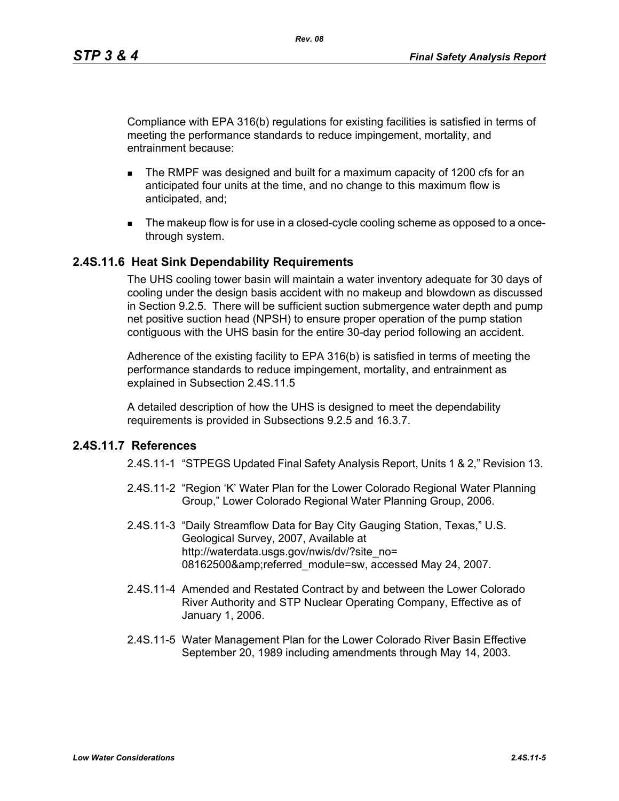Compliance with EPA 316(b) regulations for existing facilities is satisfied in terms of meeting the performance standards to reduce impingement, mortality, and entrainment because:

- The RMPF was designed and built for a maximum capacity of 1200 cfs for an anticipated four units at the time, and no change to this maximum flow is anticipated, and;
- The makeup flow is for use in a closed-cycle cooling scheme as opposed to a oncethrough system.

### **2.4S.11.6 Heat Sink Dependability Requirements**

The UHS cooling tower basin will maintain a water inventory adequate for 30 days of cooling under the design basis accident with no makeup and blowdown as discussed in Section 9.2.5. There will be sufficient suction submergence water depth and pump net positive suction head (NPSH) to ensure proper operation of the pump station contiguous with the UHS basin for the entire 30-day period following an accident.

Adherence of the existing facility to EPA 316(b) is satisfied in terms of meeting the performance standards to reduce impingement, mortality, and entrainment as explained in Subsection 2.4S.11.5

A detailed description of how the UHS is designed to meet the dependability requirements is provided in Subsections 9.2.5 and 16.3.7.

### <span id="page-4-1"></span><span id="page-4-0"></span>**2.4S.11.7 References**

- 2.4S.11-1 "STPEGS Updated Final Safety Analysis Report, Units 1 & 2," Revision 13.
- 2.4S.11-2 "Region 'K' Water Plan for the Lower Colorado Regional Water Planning Group," Lower Colorado Regional Water Planning Group, 2006.
- <span id="page-4-2"></span>2.4S.11-3 "Daily Streamflow Data for Bay City Gauging Station, Texas," U.S. Geological Survey, 2007, Available at http://waterdata.usgs.gov/nwis/dv/?site\_no= 08162500&referred\_module=sw, accessed May 24, 2007.
- <span id="page-4-3"></span>2.4S.11-4 Amended and Restated Contract by and between the Lower Colorado River Authority and STP Nuclear Operating Company, Effective as of January 1, 2006.
- <span id="page-4-4"></span>2.4S.11-5 Water Management Plan for the Lower Colorado River Basin Effective September 20, 1989 including amendments through May 14, 2003.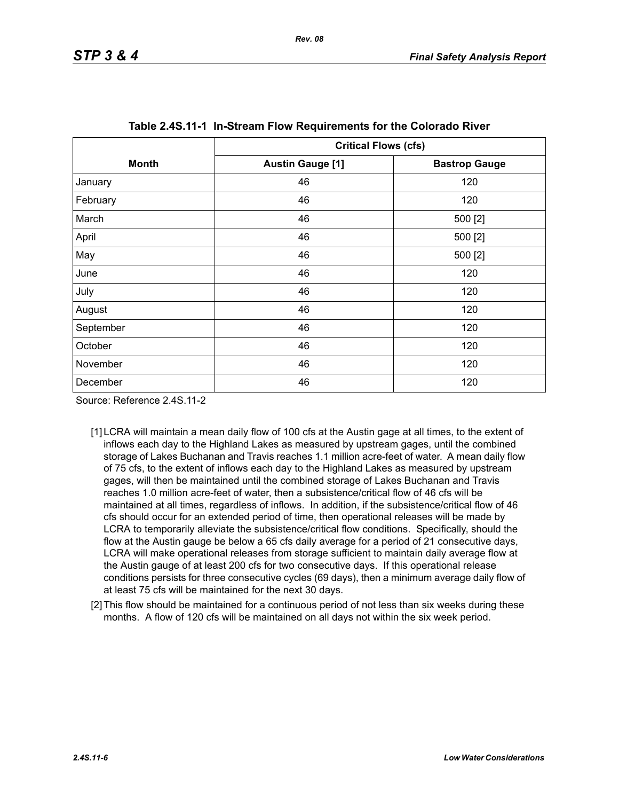<span id="page-5-0"></span>

|              | <b>Critical Flows (cfs)</b> |                      |  |  |  |
|--------------|-----------------------------|----------------------|--|--|--|
| <b>Month</b> | <b>Austin Gauge [1]</b>     | <b>Bastrop Gauge</b> |  |  |  |
| January      | 46                          | 120                  |  |  |  |
| February     | 46                          | 120                  |  |  |  |
| March        | 46                          | 500 [2]              |  |  |  |
| April        | 46                          | 500 [2]              |  |  |  |
| May          | 46                          | 500 [2]              |  |  |  |
| June         | 46                          | 120                  |  |  |  |
| July         | 46                          | 120                  |  |  |  |
| August       | 46                          | 120                  |  |  |  |
| September    | 46                          | 120                  |  |  |  |
| October      | 46                          | 120                  |  |  |  |
| November     | 46                          | 120                  |  |  |  |
| December     | 46<br>120                   |                      |  |  |  |

| Table 2.4S.11-1 In-Stream Flow Requirements for the Colorado River |  |  |  |  |  |  |  |
|--------------------------------------------------------------------|--|--|--|--|--|--|--|
|--------------------------------------------------------------------|--|--|--|--|--|--|--|

Source: Reference 2.4S.11-2

- [1] LCRA will maintain a mean daily flow of 100 cfs at the Austin gage at all times, to the extent of inflows each day to the Highland Lakes as measured by upstream gages, until the combined storage of Lakes Buchanan and Travis reaches 1.1 million acre-feet of water. A mean daily flow of 75 cfs, to the extent of inflows each day to the Highland Lakes as measured by upstream gages, will then be maintained until the combined storage of Lakes Buchanan and Travis reaches 1.0 million acre-feet of water, then a subsistence/critical flow of 46 cfs will be maintained at all times, regardless of inflows. In addition, if the subsistence/critical flow of 46 cfs should occur for an extended period of time, then operational releases will be made by LCRA to temporarily alleviate the subsistence/critical flow conditions. Specifically, should the flow at the Austin gauge be below a 65 cfs daily average for a period of 21 consecutive days, LCRA will make operational releases from storage sufficient to maintain daily average flow at the Austin gauge of at least 200 cfs for two consecutive days. If this operational release conditions persists for three consecutive cycles (69 days), then a minimum average daily flow of at least 75 cfs will be maintained for the next 30 days.
- <span id="page-5-1"></span>[2] This flow should be maintained for a continuous period of not less than six weeks during these months. A flow of 120 cfs will be maintained on all days not within the six week period.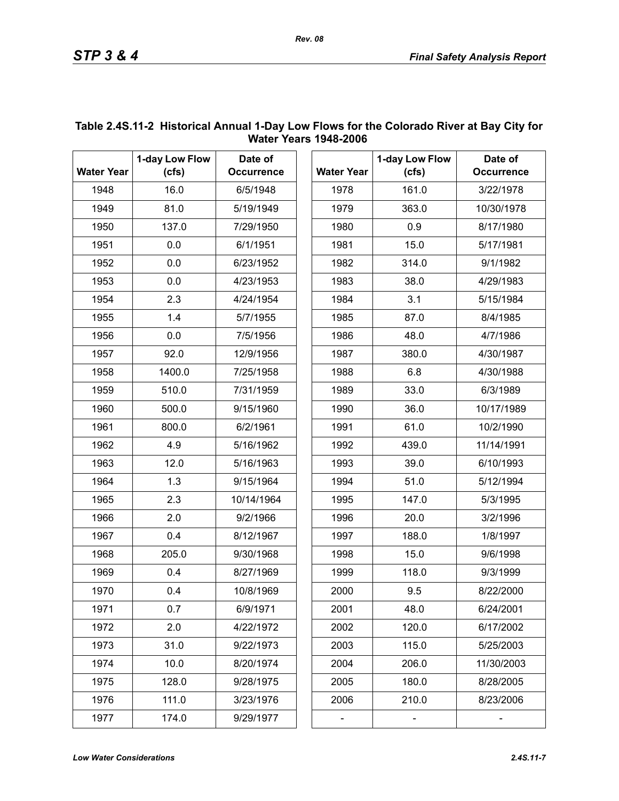|                   | 1-day Low Flow | Date of           |      |                   | 1-day Low Flow |
|-------------------|----------------|-------------------|------|-------------------|----------------|
| <b>Water Year</b> | (cfs)          | <b>Occurrence</b> |      | <b>Water Year</b> | (cfs)          |
| 1948              | 16.0           | 6/5/1948          |      | 1978              | 161.0          |
| 1949              | 81.0           | 5/19/1949         |      | 1979              | 363.0          |
| 1950              | 137.0          | 7/29/1950         |      | 1980              | 0.9            |
| 1951              | 0.0            | 6/1/1951          |      | 1981              | 15.0           |
| 1952              | 0.0            | 6/23/1952         |      | 1982              | 314.0          |
| 1953              | 0.0            | 4/23/1953         |      | 1983              | 38.0           |
| 1954              | 2.3            | 4/24/1954         |      | 1984              | 3.1            |
| 1955              | 1.4            | 5/7/1955          | 1985 |                   | 87.0           |
| 1956              | 0.0            | 7/5/1956          | 1986 |                   | 48.0           |
| 1957              | 92.0           | 12/9/1956         | 1987 |                   | 380.0          |
| 1958              | 1400.0         | 7/25/1958         | 1988 |                   | 6.8            |
| 1959              | 510.0          | 7/31/1959         | 1989 |                   | 33.0           |
| 1960              | 500.0          | 9/15/1960         | 1990 |                   | 36.0           |
| 1961              | 800.0          | 6/2/1961          | 1991 |                   | 61.0           |
| 1962              | 4.9            | 5/16/1962         | 1992 |                   | 439.0          |
| 1963              | 12.0           | 5/16/1963         | 1993 |                   | 39.0           |
| 1964              | 1.3            | 9/15/1964         | 1994 |                   | 51.0           |
| 1965              | 2.3            | 10/14/1964        | 1995 |                   | 147.0          |
| 1966              | 2.0            | 9/2/1966          | 1996 |                   | 20.0           |
| 1967              | 0.4            | 8/12/1967         | 1997 |                   | 188.0          |
| 1968              | 205.0          | 9/30/1968         | 1998 |                   | 15.0           |
| 1969              | 0.4            | 8/27/1969         | 1999 |                   | 118.0          |
| 1970              | 0.4            | 10/8/1969         | 2000 |                   | 9.5            |
| 1971              | 0.7            | 6/9/1971          | 2001 |                   | 48.0           |
| 1972              | 2.0            | 4/22/1972         | 2002 |                   | 120.0          |
| 1973              | 31.0           | 9/22/1973         | 2003 |                   | 115.0          |
| 1974              | 10.0           | 8/20/1974         | 2004 |                   | 206.0          |
| 1975              | 128.0          | 9/28/1975         | 2005 |                   | 180.0          |
| 1976              | 111.0          | 3/23/1976         | 2006 |                   | 210.0          |
| 1977              | 174.0          | 9/29/1977         |      |                   |                |

### <span id="page-6-0"></span>**Table 2.4S.11-2 Historical Annual 1-Day Low Flows for the Colorado River at Bay City for Water Years 1948-2006**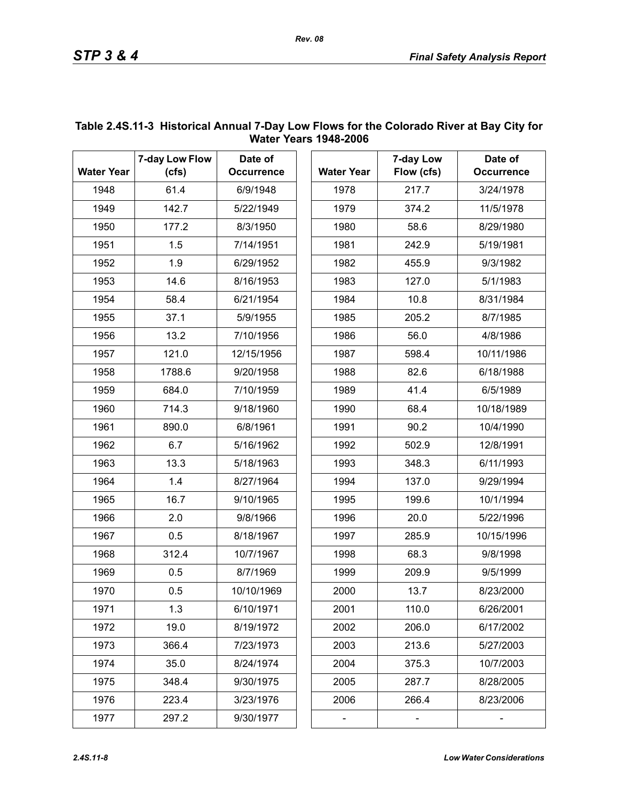| <b>Water Year</b> | 7-day Low Flow<br>(cfs) | Date of<br><b>Occurrence</b> | <b>Water Year</b> | 7-day Low<br>Flow (cfs) | Date of<br><b>Occurrence</b> |
|-------------------|-------------------------|------------------------------|-------------------|-------------------------|------------------------------|
| 1948              | 61.4                    | 6/9/1948                     | 1978              | 217.7                   | 3/24/1978                    |
| 1949              | 142.7                   | 5/22/1949                    | 1979              | 374.2                   | 11/5/1978                    |
| 1950              | 177.2                   | 8/3/1950                     | 1980              | 58.6                    | 8/29/1980                    |
| 1951              | 1.5                     | 7/14/1951                    | 1981              | 242.9                   | 5/19/1981                    |
| 1952              | 1.9                     | 6/29/1952                    | 1982              | 455.9                   | 9/3/1982                     |
| 1953              | 14.6                    | 8/16/1953                    | 1983              | 127.0                   | 5/1/1983                     |
| 1954              | 58.4                    | 6/21/1954                    | 1984              | 10.8                    | 8/31/1984                    |
| 1955              | 37.1                    | 5/9/1955                     | 1985              | 205.2                   | 8/7/1985                     |
| 1956              | 13.2                    | 7/10/1956                    | 1986              | 56.0                    | 4/8/1986                     |
| 1957              | 121.0                   | 12/15/1956                   | 1987              | 598.4                   | 10/11/1986                   |
| 1958              | 1788.6                  | 9/20/1958                    | 1988              | 82.6                    | 6/18/1988                    |
| 1959              | 684.0                   | 7/10/1959                    | 1989              | 41.4                    | 6/5/1989                     |
| 1960              | 714.3                   | 9/18/1960                    | 1990              | 68.4                    | 10/18/1989                   |
| 1961              | 890.0                   | 6/8/1961                     | 1991              | 90.2                    | 10/4/1990                    |
| 1962              | 6.7                     | 5/16/1962                    | 1992              | 502.9                   | 12/8/1991                    |
| 1963              | 13.3                    | 5/18/1963                    | 1993              | 348.3                   | 6/11/1993                    |
| 1964              | 1.4                     | 8/27/1964                    | 1994              | 137.0                   | 9/29/1994                    |
| 1965              | 16.7                    | 9/10/1965                    | 1995              | 199.6                   | 10/1/1994                    |
| 1966              | 2.0                     | 9/8/1966                     | 1996              | 20.0                    | 5/22/1996                    |
| 1967              | 0.5                     | 8/18/1967                    | 1997              | 285.9                   | 10/15/1996                   |
| 1968              | 312.4                   | 10/7/1967                    | 1998              | 68.3                    | 9/8/1998                     |
| 1969              | 0.5                     | 8/7/1969                     | 1999              | 209.9                   | 9/5/1999                     |
| 1970              | 0.5                     | 10/10/1969                   | 2000              | 13.7                    | 8/23/2000                    |
| 1971              | 1.3                     | 6/10/1971                    | 2001              | 110.0                   | 6/26/2001                    |
| 1972              | 19.0                    | 8/19/1972                    | 2002              | 206.0                   | 6/17/2002                    |
| 1973              | 366.4                   | 7/23/1973                    | 2003              | 213.6                   | 5/27/2003                    |
| 1974              | 35.0                    | 8/24/1974                    | 2004              | 375.3                   | 10/7/2003                    |
| 1975              | 348.4                   | 9/30/1975                    | 2005              | 287.7                   | 8/28/2005                    |
| 1976              | 223.4                   | 3/23/1976                    | 2006              | 266.4                   | 8/23/2006                    |
| 1977              | 297.2                   | 9/30/1977                    |                   |                         |                              |

### <span id="page-7-0"></span>**Table 2.4S.11-3 Historical Annual 7-Day Low Flows for the Colorado River at Bay City for Water Years 1948-2006**

*Rev. 08*